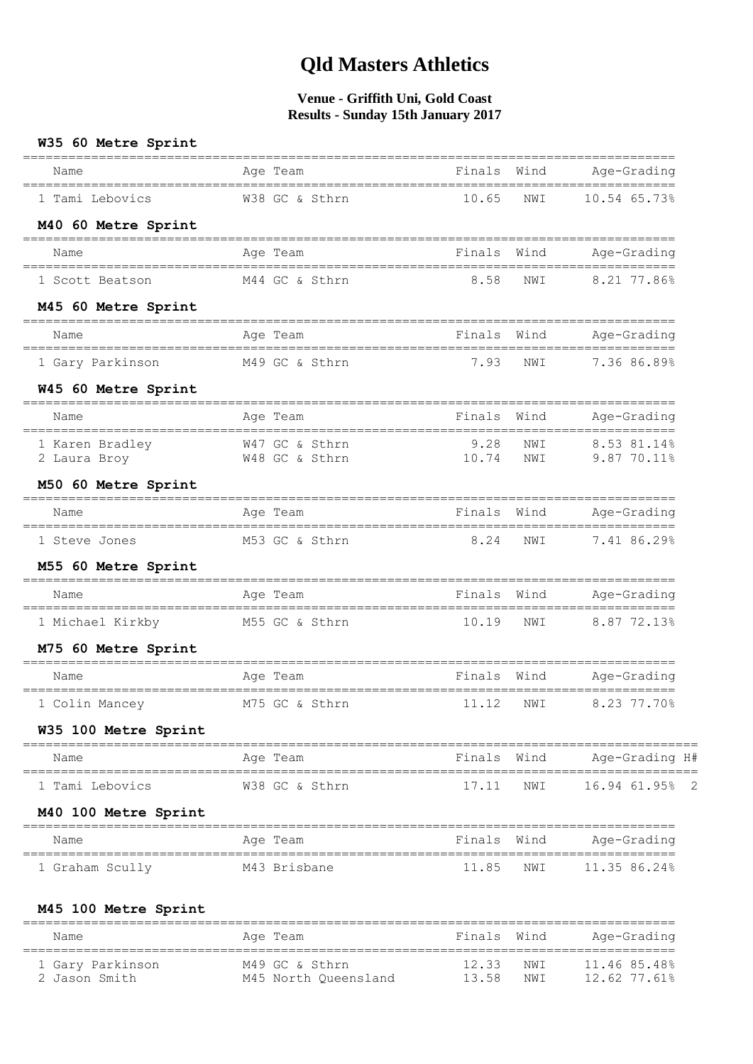| W35 60 Metre Sprint<br>==============================                         |                   |                                         |             |                              |
|-------------------------------------------------------------------------------|-------------------|-----------------------------------------|-------------|------------------------------|
| Name<br>==================================                                    | Age Team          | Finals<br>_____________________________ | Wind        | Age-Grading                  |
| 1 Tami Lebovics                                                               | W38 GC & Sthrn    | 10.65                                   | NWI         | $10.54$ 65.73%               |
| M40 60 Metre Sprint                                                           |                   |                                         |             |                              |
| Name                                                                          | Age Team          | Finals Wind                             |             | Age-Grading                  |
| 1 Scott Beatson                                                               | M44 GC & Sthrn    | 8.58                                    | NWI         | 8.21 77.86%                  |
| M45 60 Metre Sprint<br>=======================                                | ================= |                                         |             |                              |
| Name                                                                          | Age Team          | Finals Wind                             |             | Age-Grading                  |
| 1 Gary Parkinson                                                              | M49 GC & Sthrn    | 7.93                                    | NWI         | 7.36 86.89%                  |
| W45 60 Metre Sprint                                                           |                   |                                         |             |                              |
| Name                                                                          | Age Team          | Finals                                  | Wind        | Age-Grading                  |
| 1 Karen Bradley M47 GC & Sthrn<br>2 Laura Broy M48 GC & Sthrn<br>2 Laura Broy |                   | 9.28<br>$9.20$<br>10.74                 | NWI<br>NWI  | 8.53 81.14%<br>$9.8770.11\%$ |
| M50 60 Metre Sprint                                                           |                   |                                         |             |                              |
| Name                                                                          | Age Team          |                                         | Finals Wind | Age-Grading                  |
| 1 Steve Jones                                                                 | M53 GC & Sthrn    | 8.24                                    | NWI         | 7.41 86.29%                  |
| M55 60 Metre Sprint                                                           |                   |                                         |             |                              |
| Name<br>====================================                                  | Age Team          | Finals Wind                             |             | Age-Grading                  |
| 1 Michael Kirkby                                                              | M55 GC & Sthrn    | 10.19                                   | NWI         | 8.87 72.13%                  |
| M75 60 Metre Sprint                                                           |                   |                                         |             |                              |
| Name                                                                          | Age Team          | Finals                                  | Wind        | Age-Grading                  |
| 1 Colin Mancey                                                                | M75 GC & Sthrn    | 11.12                                   | NWI         | $8.23$ 77.70%                |
| W35 100 Metre Sprint                                                          |                   |                                         |             |                              |
| Name                                                                          | Age Team          | Finals Wind                             |             | Age-Grading H#               |
| 1 Tami Lebovics                                                               | W38 GC & Sthrn    | 17.11                                   | NWI         | 16.94 61.95% 2               |
| <b>M40 100 Metre Sprint</b>                                                   |                   |                                         |             |                              |
| Name                                                                          | Age Team          |                                         | Finals Wind | Age-Grading                  |
| 1 Graham Scully                                                               | M43 Brisbane      | 11.85                                   | NWI         | 11.35 86.24%                 |
| <b>M45 100 Metre Sprint</b>                                                   |                   |                                         |             |                              |
|                                                                               |                   |                                         |             |                              |

| Name                              | Age Team                               | Finals Wind    |              | Age-Grading                  |
|-----------------------------------|----------------------------------------|----------------|--------------|------------------------------|
| 1 Gary Parkinson<br>2 Jason Smith | M49 GC & Sthrn<br>M45 North Oueensland | 12.33<br>13.58 | NW T<br>NW T | 11.46 85.48%<br>12.62 77.61% |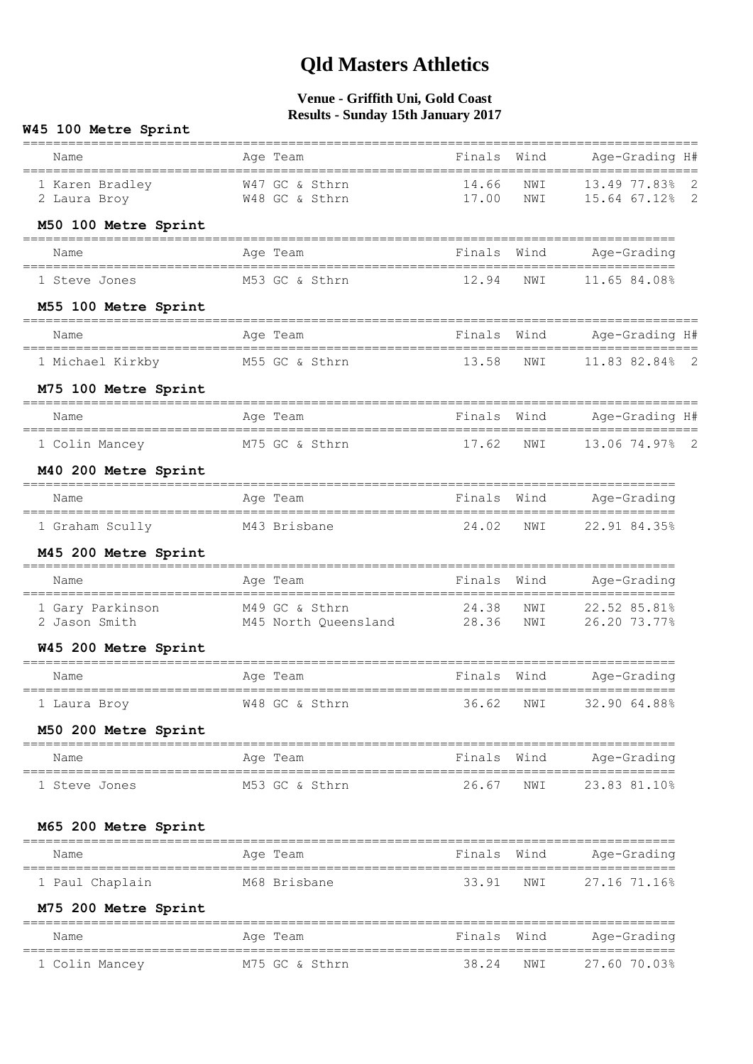| W45 100 Metre Sprint                          |                                                  |                |            |                                            |                     |
|-----------------------------------------------|--------------------------------------------------|----------------|------------|--------------------------------------------|---------------------|
| Name<br>------------------------------------- | Age Team<br>_______________________________      | Finals Wind    |            | Age-Grading H#<br>________________________ |                     |
| 1 Karen Bradley<br>2 Laura Broy               | W47 GC & Sthrn<br>W48 GC & Sthrn                 | 14.66<br>17.00 | NWI<br>NWI | 13.49 77.83%<br>15.64 67.12%               | 2<br>$\overline{2}$ |
| M50 100 Metre Sprint                          |                                                  |                |            |                                            |                     |
| Name                                          | Age Team                                         | Finals         | Wind       | Age-Grading                                |                     |
| 1 Steve Jones                                 | M53 GC & Sthrn                                   | 12.94          | NWI        | 11.65 84.08%                               |                     |
| M55 100 Metre Sprint                          |                                                  |                |            |                                            |                     |
| Name                                          | Age Team                                         | Finals Wind    |            | Age-Grading H#                             |                     |
| 1 Michael Kirkby                              | M55 GC & Sthrn                                   | 13.58          | NWI        | 11.83 82.84% 2                             |                     |
| M75 100 Metre Sprint                          |                                                  |                |            |                                            |                     |
| Name                                          | Age Team                                         | Finals Wind    |            | Age-Grading H#                             |                     |
| 1 Colin Mancey                                | M75 GC & Sthrn                                   | 17.62          | NWI        | 13.06 74.97% 2                             |                     |
| M40 200 Metre Sprint                          |                                                  |                |            |                                            |                     |
| Name                                          | Age Team                                         | Finals Wind    |            | Age-Grading                                |                     |
| 1 Graham Scully                               | M43 Brisbane                                     | 24.02          | NWI        | 22.91 84.35%                               |                     |
| M45 200 Metre Sprint                          |                                                  |                |            |                                            |                     |
| Name                                          | Age Team                                         | Finals Wind    |            | Age-Grading                                |                     |
| 1 Gary Parkinson<br>2 Jason Smith             | M49 GC & Sthrn<br>M45 North Queensland 28.36     | 24.38          | NWI<br>NWI | 22.52 85.81%<br>26.20 73.77%               |                     |
| W45 200 Metre Sprint                          |                                                  |                |            |                                            |                     |
| Name                                          | Age Team                                         | Finals         | Wind       | Age-Grading                                |                     |
| 1 Laura Broy                                  | W48 GC & Sthrn                                   | 36.62          | NWI        | 32.90 64.88%                               |                     |
| M50 200 Metre Sprint                          |                                                  |                |            |                                            |                     |
| Name                                          | ============<br>Age Team                         | Finals Wind    |            | Age-Grading                                |                     |
| 1 Steve Jones                                 | M53 GC & Sthrn                                   | 26.67          | NWI        | 23.83 81.10%                               |                     |
| M65 200 Metre Sprint                          |                                                  |                |            |                                            |                     |
| Name                                          | Age Team                                         | Finals         | Wind       | Age-Grading                                |                     |
| 1 Paul Chaplain                               | M68 Brisbane                                     | 33.91          | NWI        | 27.16 71.16%                               |                     |
| M75 200 Metre Sprint                          |                                                  |                |            |                                            |                     |
| =======================<br>Name               | Age Team                                         | Finals         | Wind       | =================<br>Age-Grading           |                     |
| 1 Colin Mancey                                | ------------------------------<br>M75 GC & Sthrn | 38.24          | NWI        | 27.60 70.03%                               |                     |
|                                               |                                                  |                |            |                                            |                     |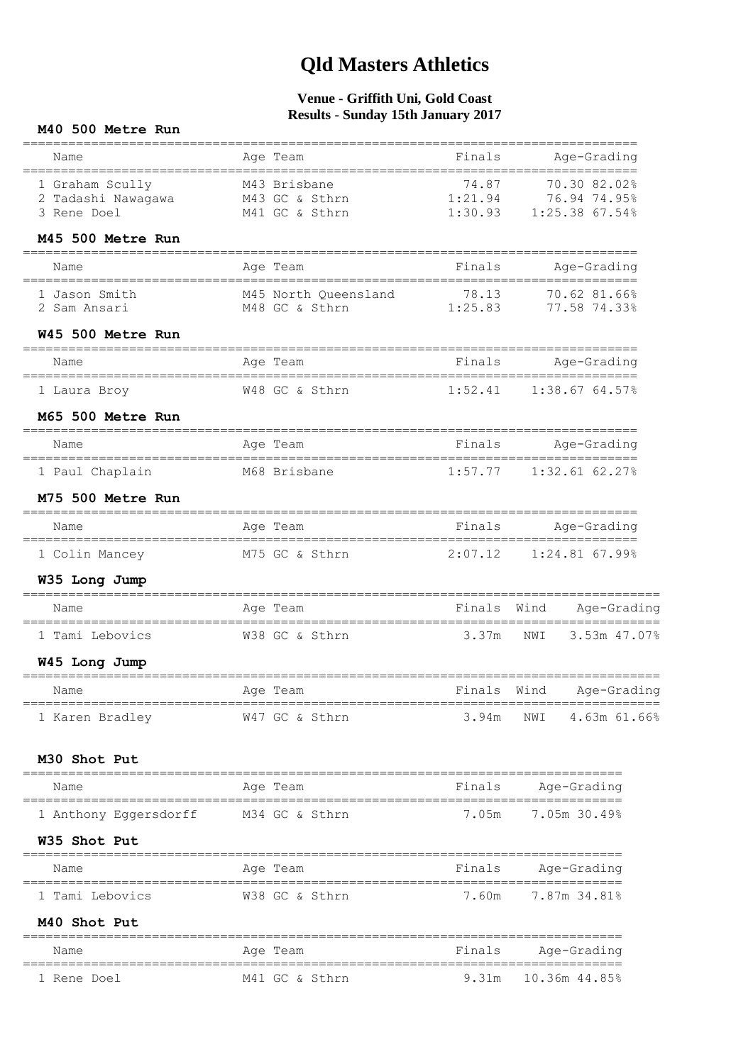### **Venue - Griffith Uni, Gold Coast Results - Sunday 15th January 2017**

#### **M40 500 Metre Run**

| Name<br>=================================                           | Age Team                                                    | ------------<br>Finals    | Age-Grading                                                                 |
|---------------------------------------------------------------------|-------------------------------------------------------------|---------------------------|-----------------------------------------------------------------------------|
| 1 Graham Scully<br>2 Tadashi Nawagawa M43 GC & Sthrn<br>3 Rene Doel | .========================<br>M43 Brisbane<br>M41 GC & Sthrn | 74.87<br>1:21.94          | =================<br>70.30 82.02%<br>76.94 74.95%<br>1:30.93 1:25.38 67.54% |
| M45 500 Metre Run                                                   |                                                             |                           |                                                                             |
| Name                                                                | Age Team                                                    | Finals                    | Age-Grading                                                                 |
| 1 Jason Smith<br>2 Sam Ansari                                       | M45 North Oueensland<br>M48 GC & Sthrn                      | $78.13$<br>1:25.83        | 70.62 81.66%<br>77.58 74.33%                                                |
| W45 500 Metre Run                                                   |                                                             |                           |                                                                             |
| Name                                                                | Age Team                                                    | Finals                    | Age-Grading                                                                 |
| 1 Laura Broy                                                        | W48 GC & Sthrn                                              |                           | 1:52.41 1:38.67 64.57%                                                      |
| M65 500 Metre Run                                                   |                                                             |                           |                                                                             |
| Name                                                                | Age Team                                                    | Finals                    | Age-Grading                                                                 |
| ==================================<br>1 Paul Chaplain               | M68 Brisbane                                                | 1:57.77                   | $1:32.61$ 62.27%                                                            |
| M75 500 Metre Run                                                   |                                                             |                           |                                                                             |
| Name                                                                | Age Team                                                    | Finals                    | Age-Grading                                                                 |
| 1 Colin Mancey                                                      | M75 GC & Sthrn                                              | 2:07.12                   | 1:24.81 67.99%                                                              |
| W35 Long Jump                                                       |                                                             |                           |                                                                             |
| Name                                                                | Age Team                                                    | Finals                    | Age-Grading<br>Wind                                                         |
| 1 Tami Lebovics                                                     | W38 GC & Sthrn                                              | 3.37m                     | 3.53m 47.07%<br>NWI                                                         |
| W45 Long Jump                                                       |                                                             |                           |                                                                             |
| Name                                                                | Age Team                                                    | Finals                    | Wind<br>Age-Grading                                                         |
| 1 Karen Bradley                                                     | W47 GC & Sthrn                                              |                           | 3.94m NWI 4.63m 61.66%                                                      |
| M30 Shot Put                                                        |                                                             | ========================= |                                                                             |
| Name<br>=================================                           | Age Team                                                    |                           | Finals Age-Grading                                                          |
| 1 Anthony Eggersdorff M34 GC & Sthrn                                |                                                             |                           | 7.05m 7.05m 30.49%                                                          |
| W35 Shot Put                                                        |                                                             |                           |                                                                             |
| Name                                                                | Age Team                                                    | Finals                    | Age-Grading                                                                 |
| 1 Tami Lebovics                                                     | W38 GC & Sthrn                                              | 7.60m                     | 7.87m 34.81%                                                                |
| M40 Shot Put                                                        |                                                             |                           |                                                                             |
| Name                                                                | Age Team                                                    | Finals                    | ==================================<br>Age-Grading                           |
| 1 Rene Doel                                                         | M41 GC & Sthrn                                              | 9.31m                     | 10.36m 44.85%                                                               |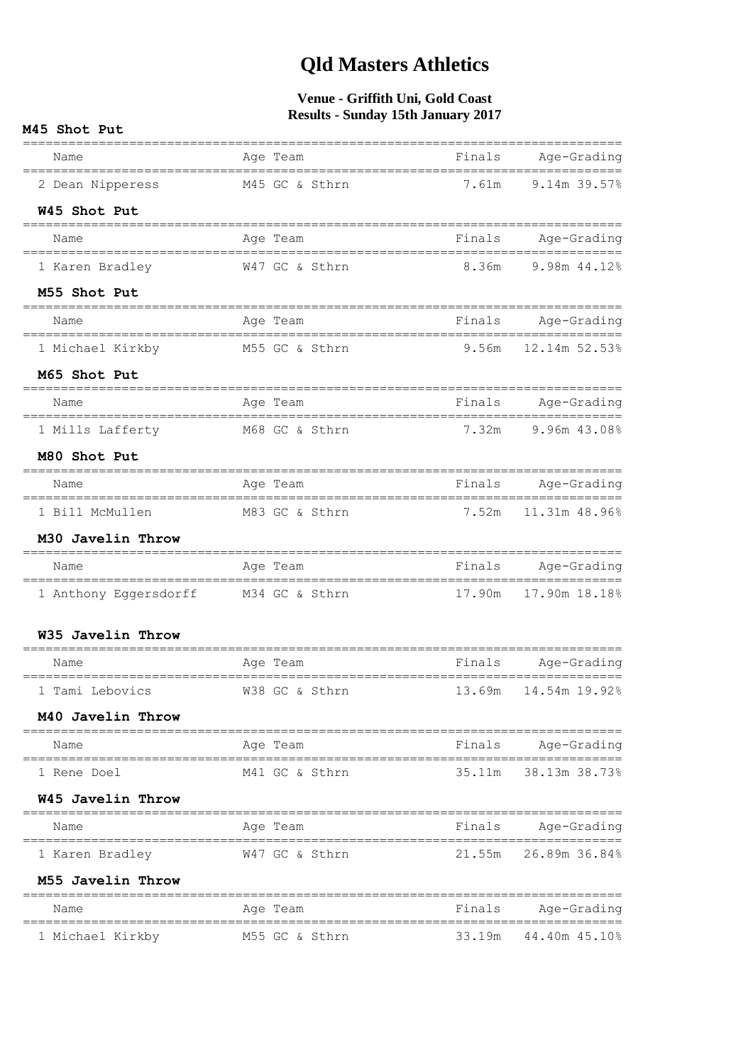| M45 Shot Put                                           | $\frac{1}{2}$ $\frac{1}{2}$ $\frac{1}{2}$ $\frac{1}{2}$ $\frac{1}{2}$ $\frac{1}{2}$ $\frac{1}{2}$ $\frac{1}{2}$ $\frac{1}{2}$ $\frac{1}{2}$ $\frac{1}{2}$ $\frac{1}{2}$ $\frac{1}{2}$ $\frac{1}{2}$ $\frac{1}{2}$ $\frac{1}{2}$ $\frac{1}{2}$ $\frac{1}{2}$ $\frac{1}{2}$ $\frac{1}{2}$ $\frac{1}{2}$ $\frac{1}{2}$ |              |                                      |  |  |  |
|--------------------------------------------------------|---------------------------------------------------------------------------------------------------------------------------------------------------------------------------------------------------------------------------------------------------------------------------------------------------------------------|--------------|--------------------------------------|--|--|--|
| Name                                                   | Age Team                                                                                                                                                                                                                                                                                                            | Finals       | Age-Grading                          |  |  |  |
| 2 Dean Nipperess                                       | M45 GC & Sthrn                                                                                                                                                                                                                                                                                                      |              | 7.61m 9.14m 39.57%                   |  |  |  |
| W45 Shot Put                                           |                                                                                                                                                                                                                                                                                                                     |              | ------------------------------------ |  |  |  |
| Name                                                   | Age Team                                                                                                                                                                                                                                                                                                            | Finals       | Age-Grading                          |  |  |  |
| 1 Karen Bradley                                        | W47 GC & Sthrn                                                                                                                                                                                                                                                                                                      |              | 8.36m 9.98m 44.12%                   |  |  |  |
| M55 Shot Put<br>====================================== |                                                                                                                                                                                                                                                                                                                     |              | ____________________________________ |  |  |  |
| Name                                                   | Age Team                                                                                                                                                                                                                                                                                                            | Finals       | Age-Grading                          |  |  |  |
| ================================<br>1 Michael Kirkby   | M55 GC & Sthrn                                                                                                                                                                                                                                                                                                      | <b>9.56m</b> | 12.14m 52.53%                        |  |  |  |
| M65 Shot Put                                           |                                                                                                                                                                                                                                                                                                                     |              |                                      |  |  |  |
| Name                                                   | Age Team                                                                                                                                                                                                                                                                                                            | Finals       | Age-Grading                          |  |  |  |
| 1 Mills Lafferty M68 GC & Sthrn                        |                                                                                                                                                                                                                                                                                                                     | 7.32m        | 9.96m 43.08%                         |  |  |  |
| M80 Shot Put                                           |                                                                                                                                                                                                                                                                                                                     |              |                                      |  |  |  |
| Name                                                   | Age Team                                                                                                                                                                                                                                                                                                            | Finals       | Age-Grading                          |  |  |  |
| 1 Bill McMullen                                        | M83 GC & Sthrn                                                                                                                                                                                                                                                                                                      | 7.52m        | 11.31m 48.96%                        |  |  |  |
| M30 Javelin Throw                                      |                                                                                                                                                                                                                                                                                                                     |              |                                      |  |  |  |
| Name                                                   | Age Team                                                                                                                                                                                                                                                                                                            | Finals       | Age-Grading                          |  |  |  |
| 1 Anthony Eggersdorff M34 GC & Sthrn                   |                                                                                                                                                                                                                                                                                                                     | 17.90m       | 17.90m 18.18%                        |  |  |  |
| W35 Javelin Throw                                      |                                                                                                                                                                                                                                                                                                                     |              |                                      |  |  |  |
| Name                                                   | Age Team                                                                                                                                                                                                                                                                                                            | Finals       | Age-Grading                          |  |  |  |
| 1 Tami Lebovics                                        | ==================                                                                                                                                                                                                                                                                                                  | 13.69m       | 14.54m 19.92%                        |  |  |  |
| M40 Javelin Throw                                      | W38 GC & Sthrn                                                                                                                                                                                                                                                                                                      |              |                                      |  |  |  |
|                                                        |                                                                                                                                                                                                                                                                                                                     |              |                                      |  |  |  |
| Name                                                   | Age Team                                                                                                                                                                                                                                                                                                            | Finals       | Age-Grading                          |  |  |  |
| 1 Rene Doel                                            | M41 GC & Sthrn                                                                                                                                                                                                                                                                                                      | 35.11m       | 38.13m 38.73%                        |  |  |  |
| W45 Javelin Throw<br>===============                   |                                                                                                                                                                                                                                                                                                                     |              | ----------------------               |  |  |  |
| Name                                                   | Age Team                                                                                                                                                                                                                                                                                                            | Finals       | Age-Grading                          |  |  |  |
| 1 Karen Bradley                                        | W47 GC & Sthrn                                                                                                                                                                                                                                                                                                      | 21.55m       | 26.89m 36.84%                        |  |  |  |
| M55 Javelin Throw                                      |                                                                                                                                                                                                                                                                                                                     |              |                                      |  |  |  |
| Name                                                   | Age Team                                                                                                                                                                                                                                                                                                            | Finals       | Age-Grading                          |  |  |  |
| 1 Michael Kirkby                                       | M55 GC & Sthrn                                                                                                                                                                                                                                                                                                      | 33.19m       | 44.40m 45.10%                        |  |  |  |